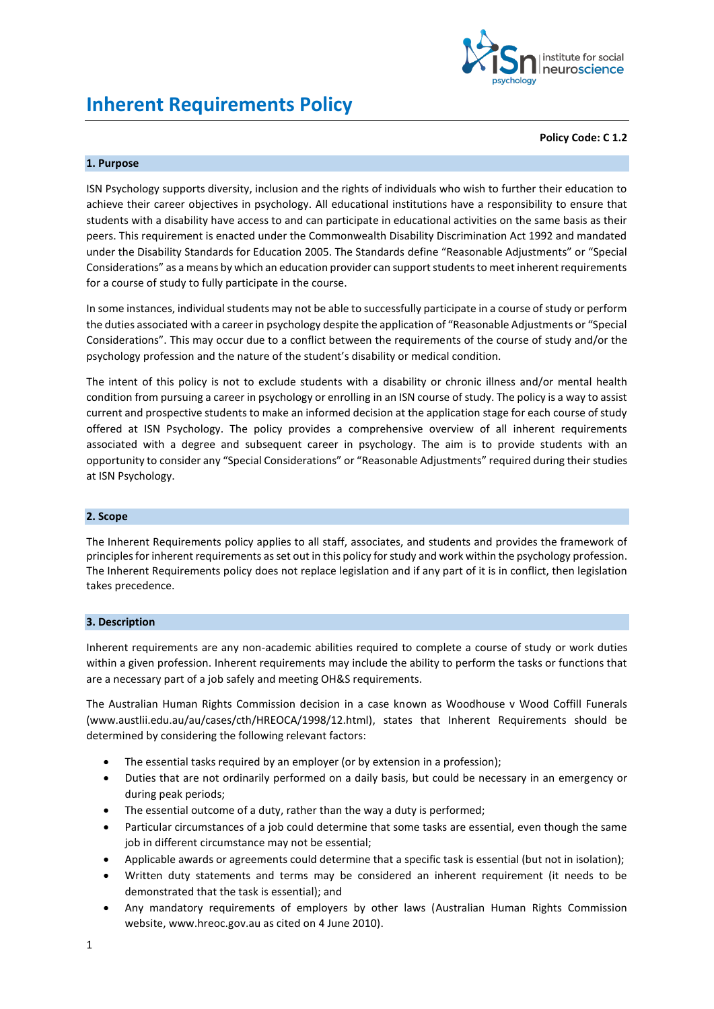

# **Inherent Requirements Policy**

#### **Policy Code: C 1.2**

## **1. Purpose**

ISN Psychology supports diversity, inclusion and the rights of individuals who wish to further their education to achieve their career objectives in psychology. All educational institutions have a responsibility to ensure that students with a disability have access to and can participate in educational activities on the same basis as their peers. This requirement is enacted under the Commonwealth Disability Discrimination Act 1992 and mandated under the Disability Standards for Education 2005. The Standards define "Reasonable Adjustments" or "Special Considerations" as a means by which an education provider can support students to meet inherent requirements for a course of study to fully participate in the course.

In some instances, individual students may not be able to successfully participate in a course of study or perform the duties associated with a career in psychology despite the application of "Reasonable Adjustments or "Special Considerations". This may occur due to a conflict between the requirements of the course of study and/or the psychology profession and the nature of the student's disability or medical condition.

The intent of this policy is not to exclude students with a disability or chronic illness and/or mental health condition from pursuing a career in psychology or enrolling in an ISN course of study. The policy is a way to assist current and prospective students to make an informed decision at the application stage for each course of study offered at ISN Psychology. The policy provides a comprehensive overview of all inherent requirements associated with a degree and subsequent career in psychology. The aim is to provide students with an opportunity to consider any "Special Considerations" or "Reasonable Adjustments" required during their studies at ISN Psychology.

#### **2. Scope**

The Inherent Requirements policy applies to all staff, associates, and students and provides the framework of principles for inherent requirements as set out in this policy for study and work within the psychology profession. The Inherent Requirements policy does not replace legislation and if any part of it is in conflict, then legislation takes precedence.

## **3. Description**

Inherent requirements are any non-academic abilities required to complete a course of study or work duties within a given profession. Inherent requirements may include the ability to perform the tasks or functions that are a necessary part of a job safely and meeting OH&S requirements.

The Australian Human Rights Commission decision in a case known as Woodhouse v Wood Coffill Funerals (www.austlii.edu.au/au/cases/cth/HREOCA/1998/12.html), states that Inherent Requirements should be determined by considering the following relevant factors:

- The essential tasks required by an employer (or by extension in a profession);
- Duties that are not ordinarily performed on a daily basis, but could be necessary in an emergency or during peak periods;
- The essential outcome of a duty, rather than the way a duty is performed;
- Particular circumstances of a job could determine that some tasks are essential, even though the same job in different circumstance may not be essential;
- Applicable awards or agreements could determine that a specific task is essential (but not in isolation);
- Written duty statements and terms may be considered an inherent requirement (it needs to be demonstrated that the task is essential); and
- Any mandatory requirements of employers by other laws (Australian Human Rights Commission website, www.hreoc.gov.au as cited on 4 June 2010).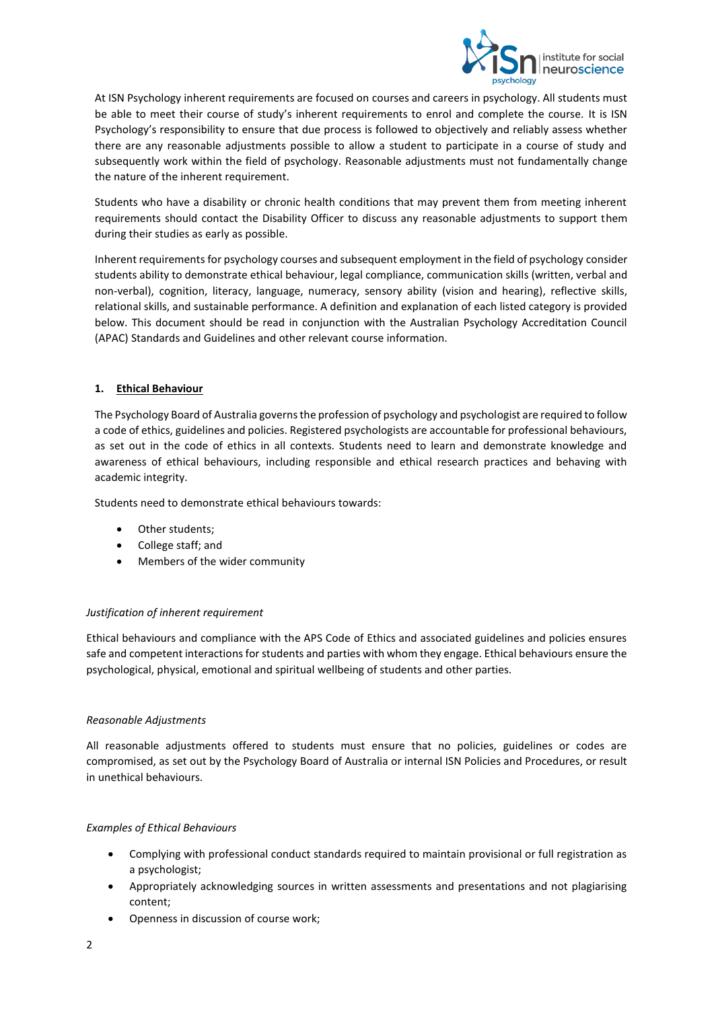

At ISN Psychology inherent requirements are focused on courses and careers in psychology. All students must be able to meet their course of study's inherent requirements to enrol and complete the course. It is ISN Psychology's responsibility to ensure that due process is followed to objectively and reliably assess whether there are any reasonable adjustments possible to allow a student to participate in a course of study and subsequently work within the field of psychology. Reasonable adjustments must not fundamentally change the nature of the inherent requirement.

Students who have a disability or chronic health conditions that may prevent them from meeting inherent requirements should contact the Disability Officer to discuss any reasonable adjustments to support them during their studies as early as possible.

Inherent requirements for psychology courses and subsequent employment in the field of psychology consider students ability to demonstrate ethical behaviour, legal compliance, communication skills (written, verbal and non-verbal), cognition, literacy, language, numeracy, sensory ability (vision and hearing), reflective skills, relational skills, and sustainable performance. A definition and explanation of each listed category is provided below. This document should be read in conjunction with the Australian Psychology Accreditation Council (APAC) Standards and Guidelines and other relevant course information.

# **1. Ethical Behaviour**

The Psychology Board of Australia governs the profession of psychology and psychologist are required to follow a code of ethics, guidelines and policies. Registered psychologists are accountable for professional behaviours, as set out in the code of ethics in all contexts. Students need to learn and demonstrate knowledge and awareness of ethical behaviours, including responsible and ethical research practices and behaving with academic integrity.

Students need to demonstrate ethical behaviours towards:

- Other students;
- College staff; and
- Members of the wider community

# *Justification of inherent requirement*

Ethical behaviours and compliance with the APS Code of Ethics and associated guidelines and policies ensures safe and competent interactions for students and parties with whom they engage. Ethical behaviours ensure the psychological, physical, emotional and spiritual wellbeing of students and other parties.

## *Reasonable Adjustments*

All reasonable adjustments offered to students must ensure that no policies, guidelines or codes are compromised, as set out by the Psychology Board of Australia or internal ISN Policies and Procedures, or result in unethical behaviours.

# *Examples of Ethical Behaviours*

- Complying with professional conduct standards required to maintain provisional or full registration as a psychologist;
- Appropriately acknowledging sources in written assessments and presentations and not plagiarising content;
- Openness in discussion of course work;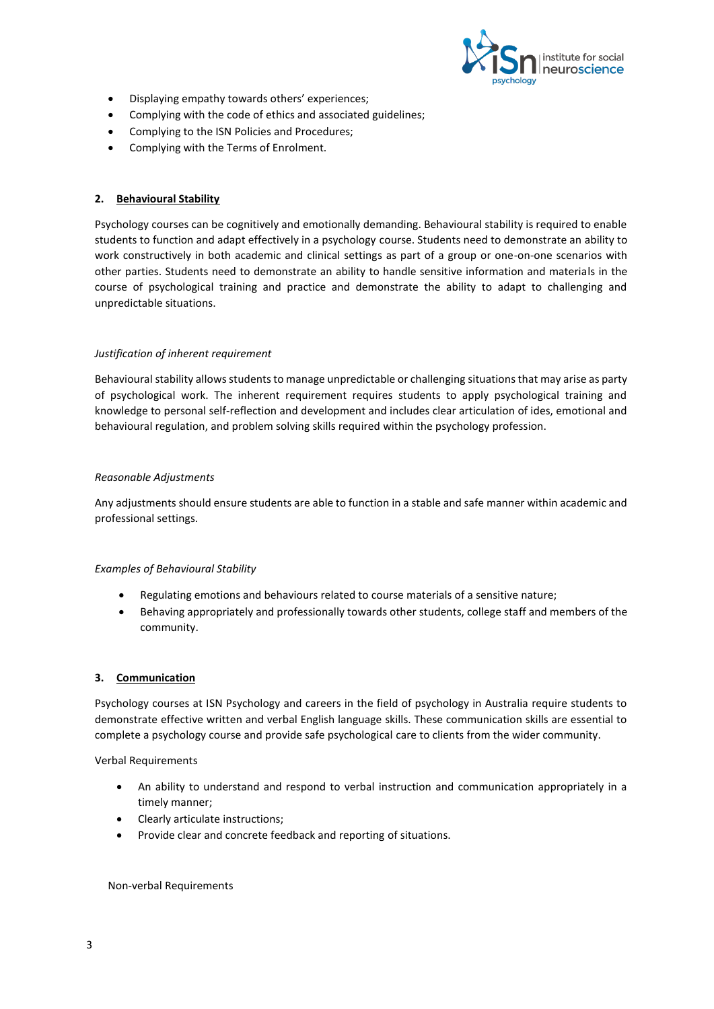

- Displaying empathy towards others' experiences;
- Complying with the code of ethics and associated guidelines;
- Complying to the ISN Policies and Procedures;
- Complying with the Terms of Enrolment.

## **2. Behavioural Stability**

Psychology courses can be cognitively and emotionally demanding. Behavioural stability is required to enable students to function and adapt effectively in a psychology course. Students need to demonstrate an ability to work constructively in both academic and clinical settings as part of a group or one-on-one scenarios with other parties. Students need to demonstrate an ability to handle sensitive information and materials in the course of psychological training and practice and demonstrate the ability to adapt to challenging and unpredictable situations.

## *Justification of inherent requirement*

Behavioural stability allows students to manage unpredictable or challenging situations that may arise as party of psychological work. The inherent requirement requires students to apply psychological training and knowledge to personal self-reflection and development and includes clear articulation of ides, emotional and behavioural regulation, and problem solving skills required within the psychology profession.

#### *Reasonable Adjustments*

Any adjustments should ensure students are able to function in a stable and safe manner within academic and professional settings.

## *Examples of Behavioural Stability*

- Regulating emotions and behaviours related to course materials of a sensitive nature;
- Behaving appropriately and professionally towards other students, college staff and members of the community.

## **3. Communication**

Psychology courses at ISN Psychology and careers in the field of psychology in Australia require students to demonstrate effective written and verbal English language skills. These communication skills are essential to complete a psychology course and provide safe psychological care to clients from the wider community.

Verbal Requirements

- An ability to understand and respond to verbal instruction and communication appropriately in a timely manner;
- Clearly articulate instructions;
- Provide clear and concrete feedback and reporting of situations.

#### Non-verbal Requirements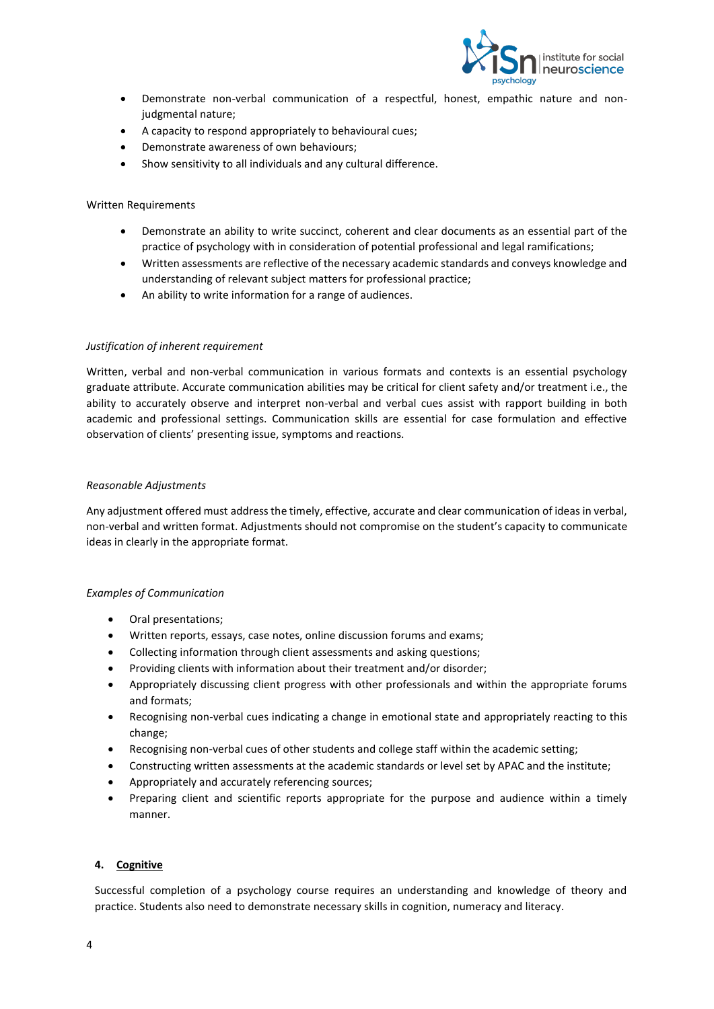

- Demonstrate non-verbal communication of a respectful, honest, empathic nature and nonjudgmental nature;
- A capacity to respond appropriately to behavioural cues;
- Demonstrate awareness of own behaviours;
- Show sensitivity to all individuals and any cultural difference.

## Written Requirements

- Demonstrate an ability to write succinct, coherent and clear documents as an essential part of the practice of psychology with in consideration of potential professional and legal ramifications;
- Written assessments are reflective of the necessary academic standards and conveys knowledge and understanding of relevant subject matters for professional practice;
- An ability to write information for a range of audiences.

#### *Justification of inherent requirement*

Written, verbal and non-verbal communication in various formats and contexts is an essential psychology graduate attribute. Accurate communication abilities may be critical for client safety and/or treatment i.e., the ability to accurately observe and interpret non-verbal and verbal cues assist with rapport building in both academic and professional settings. Communication skills are essential for case formulation and effective observation of clients' presenting issue, symptoms and reactions.

#### *Reasonable Adjustments*

Any adjustment offered must address the timely, effective, accurate and clear communication of ideas in verbal, non-verbal and written format. Adjustments should not compromise on the student's capacity to communicate ideas in clearly in the appropriate format.

#### *Examples of Communication*

- Oral presentations;
- Written reports, essays, case notes, online discussion forums and exams;
- Collecting information through client assessments and asking questions;
- Providing clients with information about their treatment and/or disorder;
- Appropriately discussing client progress with other professionals and within the appropriate forums and formats;
- Recognising non-verbal cues indicating a change in emotional state and appropriately reacting to this change;
- Recognising non-verbal cues of other students and college staff within the academic setting;
- Constructing written assessments at the academic standards or level set by APAC and the institute;
- Appropriately and accurately referencing sources;
- Preparing client and scientific reports appropriate for the purpose and audience within a timely manner.

## **4. Cognitive**

Successful completion of a psychology course requires an understanding and knowledge of theory and practice. Students also need to demonstrate necessary skills in cognition, numeracy and literacy.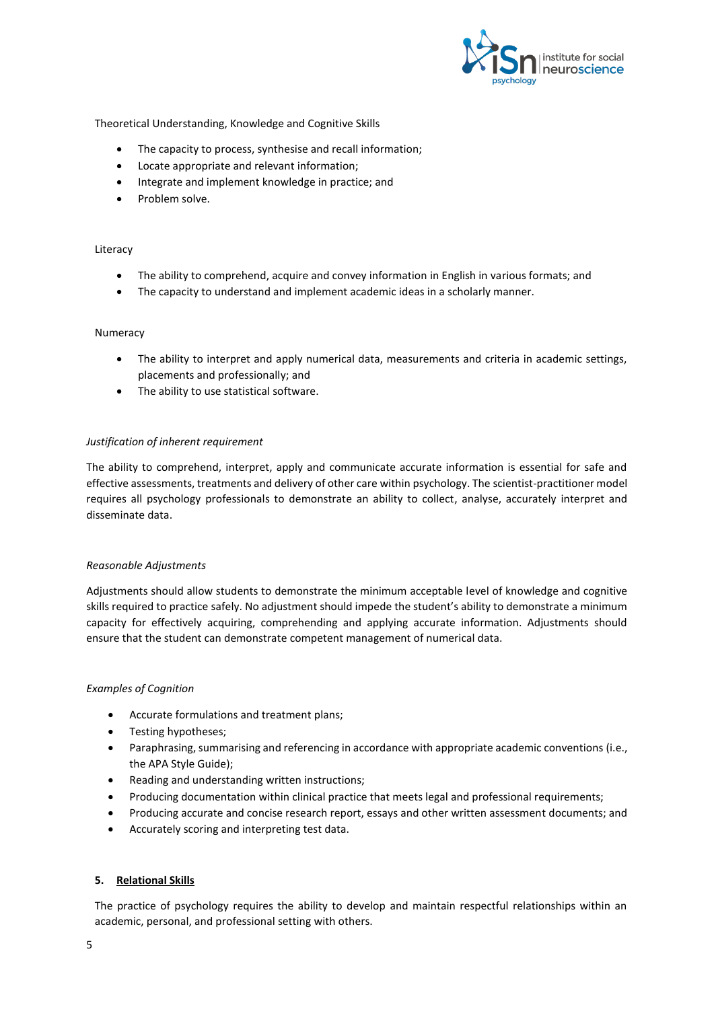

Theoretical Understanding, Knowledge and Cognitive Skills

- The capacity to process, synthesise and recall information;
- Locate appropriate and relevant information;
- Integrate and implement knowledge in practice: and
- Problem solve.

### Literacy

- The ability to comprehend, acquire and convey information in English in various formats; and
- The capacity to understand and implement academic ideas in a scholarly manner.

## Numeracy

- The ability to interpret and apply numerical data, measurements and criteria in academic settings, placements and professionally; and
- The ability to use statistical software.

## *Justification of inherent requirement*

The ability to comprehend, interpret, apply and communicate accurate information is essential for safe and effective assessments, treatments and delivery of other care within psychology. The scientist-practitioner model requires all psychology professionals to demonstrate an ability to collect, analyse, accurately interpret and disseminate data.

## *Reasonable Adjustments*

Adjustments should allow students to demonstrate the minimum acceptable level of knowledge and cognitive skills required to practice safely. No adjustment should impede the student's ability to demonstrate a minimum capacity for effectively acquiring, comprehending and applying accurate information. Adjustments should ensure that the student can demonstrate competent management of numerical data.

## *Examples of Cognition*

- Accurate formulations and treatment plans;
- Testing hypotheses;
- Paraphrasing, summarising and referencing in accordance with appropriate academic conventions (i.e., the APA Style Guide);
- Reading and understanding written instructions;
- Producing documentation within clinical practice that meets legal and professional requirements;
- Producing accurate and concise research report, essays and other written assessment documents; and
- Accurately scoring and interpreting test data.

## **5. Relational Skills**

The practice of psychology requires the ability to develop and maintain respectful relationships within an academic, personal, and professional setting with others.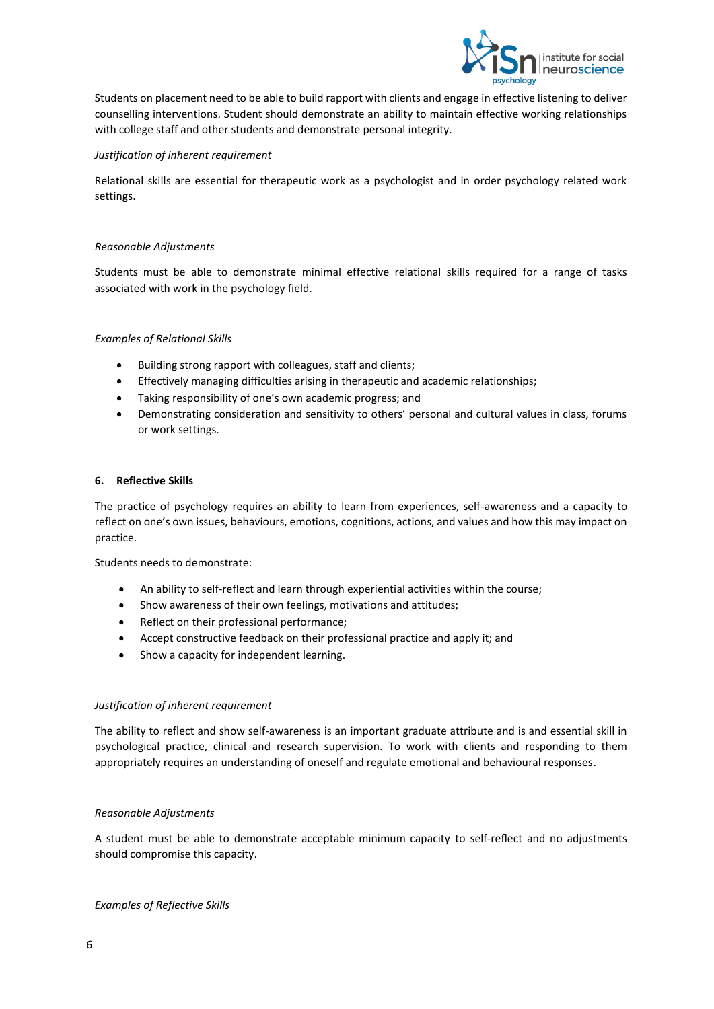

Students on placement need to be able to build rapport with clients and engage in effective listening to deliver counselling interventions. Student should demonstrate an ability to maintain effective working relationships with college staff and other students and demonstrate personal integrity.

## *Justification of inherent requirement*

Relational skills are essential for therapeutic work as a psychologist and in order psychology related work settings.

## *Reasonable Adjustments*

Students must be able to demonstrate minimal effective relational skills required for a range of tasks associated with work in the psychology field.

## *Examples of Relational Skills*

- Building strong rapport with colleagues, staff and clients;
- Effectively managing difficulties arising in therapeutic and academic relationships;
- Taking responsibility of one's own academic progress; and
- Demonstrating consideration and sensitivity to others' personal and cultural values in class, forums or work settings.

## **6. Reflective Skills**

The practice of psychology requires an ability to learn from experiences, self-awareness and a capacity to reflect on one's own issues, behaviours, emotions, cognitions, actions, and values and how this may impact on practice.

Students needs to demonstrate:

- An ability to self-reflect and learn through experiential activities within the course;
- Show awareness of their own feelings, motivations and attitudes;
- Reflect on their professional performance;
- Accept constructive feedback on their professional practice and apply it; and
- Show a capacity for independent learning.

## *Justification of inherent requirement*

The ability to reflect and show self-awareness is an important graduate attribute and is and essential skill in psychological practice, clinical and research supervision. To work with clients and responding to them appropriately requires an understanding of oneself and regulate emotional and behavioural responses.

## *Reasonable Adjustments*

A student must be able to demonstrate acceptable minimum capacity to self-reflect and no adjustments should compromise this capacity.

*Examples of Reflective Skills*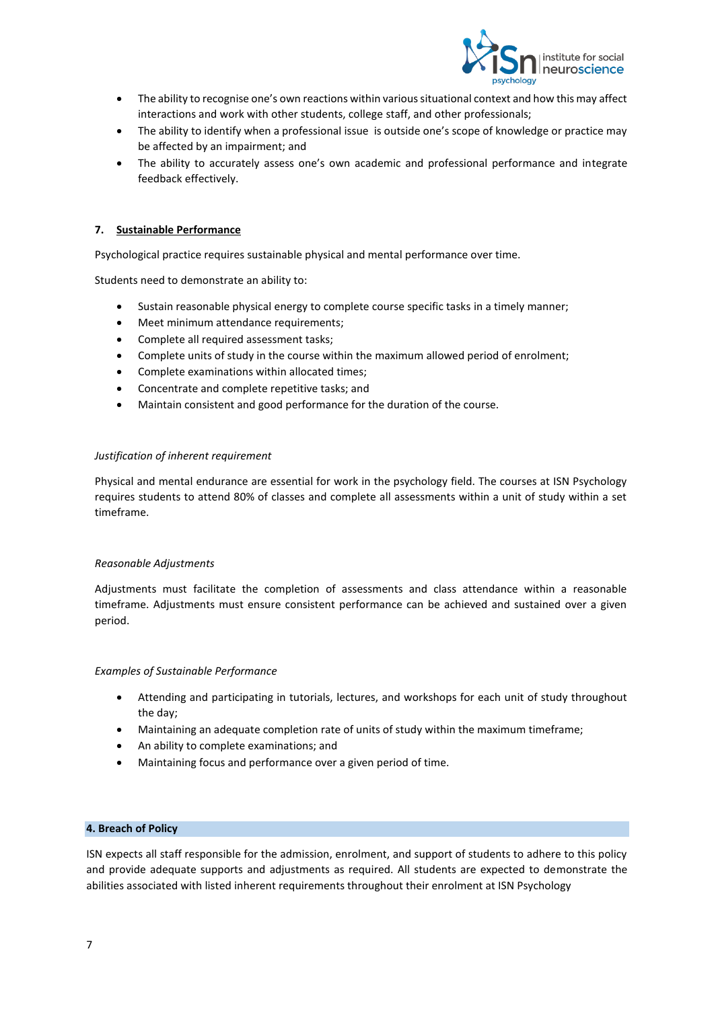

- The ability to recognise one's own reactions within various situational context and how this may affect interactions and work with other students, college staff, and other professionals;
- The ability to identify when a professional issue is outside one's scope of knowledge or practice may be affected by an impairment; and
- The ability to accurately assess one's own academic and professional performance and integrate feedback effectively.

## **7. Sustainable Performance**

Psychological practice requires sustainable physical and mental performance over time.

Students need to demonstrate an ability to:

- Sustain reasonable physical energy to complete course specific tasks in a timely manner;
- Meet minimum attendance requirements;
- Complete all required assessment tasks;
- Complete units of study in the course within the maximum allowed period of enrolment;
- Complete examinations within allocated times;
- Concentrate and complete repetitive tasks; and
- Maintain consistent and good performance for the duration of the course.

## *Justification of inherent requirement*

Physical and mental endurance are essential for work in the psychology field. The courses at ISN Psychology requires students to attend 80% of classes and complete all assessments within a unit of study within a set timeframe.

## *Reasonable Adjustments*

Adjustments must facilitate the completion of assessments and class attendance within a reasonable timeframe. Adjustments must ensure consistent performance can be achieved and sustained over a given period.

## *Examples of Sustainable Performance*

- Attending and participating in tutorials, lectures, and workshops for each unit of study throughout the day;
- Maintaining an adequate completion rate of units of study within the maximum timeframe;
- An ability to complete examinations; and
- Maintaining focus and performance over a given period of time.

## **4. Breach of Policy**

ISN expects all staff responsible for the admission, enrolment, and support of students to adhere to this policy and provide adequate supports and adjustments as required. All students are expected to demonstrate the abilities associated with listed inherent requirements throughout their enrolment at ISN Psychology